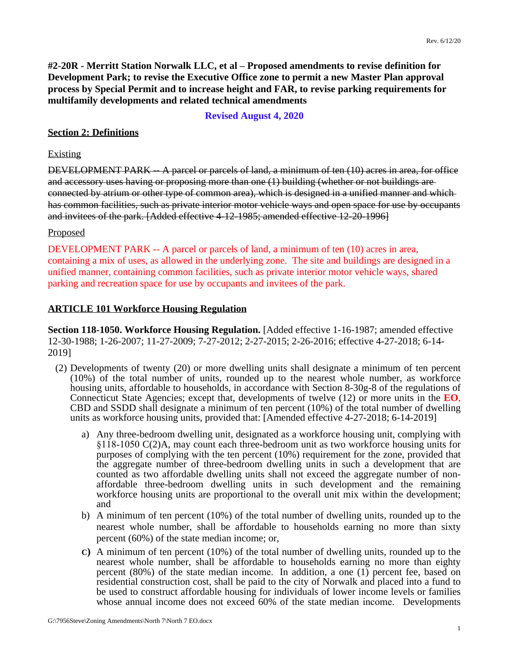**#2-20R - Merritt Station Norwalk LLC, et al – Proposed amendments to revise definition for Development Park; to revise the Executive Office zone to permit a new Master Plan approval process by Special Permit and to increase height and FAR, to revise parking requirements for multifamily developments and related technical amendments**

**Revised August 4, 2020**

# **Section 2: Definitions**

#### Existing

DEVELOPMENT PARK -- A parcel or parcels of land, a minimum of ten (10) acres in area, for office and accessory uses having or proposing more than one (1) building (whether or not buildings are connected by atrium or other type of common area), which is designed in a unified manner and which has common facilities, such as private interior motor vehicle ways and open space for use by occupants and invitees of the park. [Added effective 4-12-1985; amended effective 12-20-1996]

### Proposed

DEVELOPMENT PARK -- A parcel or parcels of land, a minimum of ten (10) acres in area, containing a mix of uses, as allowed in the underlying zone. The site and buildings are designed in a unified manner, containing common facilities, such as private interior motor vehicle ways, shared parking and recreation space for use by occupants and invitees of the park.

### **ARTICLE 101 Workforce Housing Regulation**

**Section 118-1050. Workforce Housing Regulation.** [Added effective 1-16-1987; amended effective 12-30-1988; 1-26-2007; 11-27-2009; 7-27-2012; 2-27-2015; 2-26-2016; effective 4-27-2018; 6-14- 2019]

- (2) Developments of twenty (20) or more dwelling units shall designate a minimum of ten percent (10%) of the total number of units, rounded up to the nearest whole number, as workforce housing units, affordable to households, in accordance with Section 8-30g-8 of the regulations of Connecticut State Agencies; except that, developments of twelve (12) or more units in the **EO**, CBD and SSDD shall designate a minimum of ten percent (10%) of the total number of dwelling units as workforce housing units, provided that: [Amended effective 4-27-2018; 6-14-2019]
	- a) Any three-bedroom dwelling unit, designated as a workforce housing unit, complying with §118-1050 C(2)A, may count each three-bedroom unit as two workforce housing units for purposes of complying with the ten percent (10%) requirement for the zone, provided that the aggregate number of three-bedroom dwelling units in such a development that are counted as two affordable dwelling units shall not exceed the aggregate number of nonaffordable three-bedroom dwelling units in such development and the remaining workforce housing units are proportional to the overall unit mix within the development; and
	- b) A minimum of ten percent (10%) of the total number of dwelling units, rounded up to the nearest whole number, shall be affordable to households earning no more than sixty percent (60%) of the state median income; or,
	- **C)** A minimum of ten percent (10%) of the total number of dwelling units, rounded up to the nearest whole number, shall be affordable to households earning no more than eighty percent (80%) of the state median income. In addition, a one (1) percent fee, based on residential construction cost, shall be paid to the city of Norwalk and placed into a fund to be used to construct affordable housing for individuals of lower income levels or families whose annual income does not exceed 60% of the state median income. Developments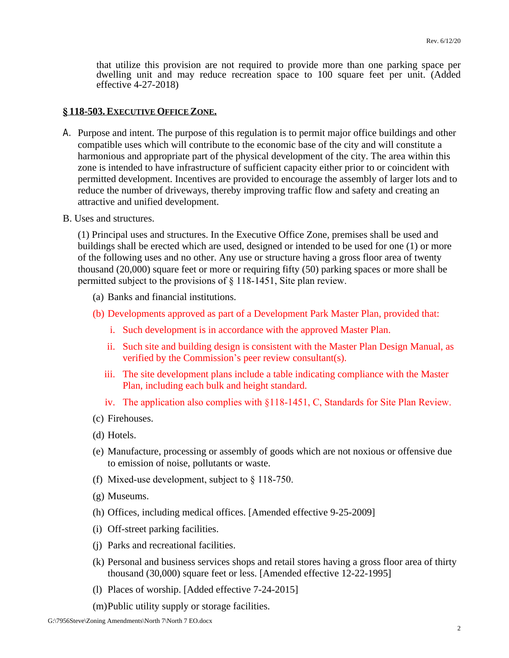that utilize this provision are not required to provide more than one parking space per dwelling unit and may reduce recreation space to 100 square feet per unit. (Added effective 4-27-2018)

#### **§ 118-503.EXECUTIVE OFFICE ZONE.**

- A. Purpose and intent. The purpose of this regulation is to permit major office buildings and other compatible uses which will contribute to the economic base of the city and will constitute a harmonious and appropriate part of the physical development of the city. The area within this zone is intended to have infrastructure of sufficient capacity either prior to or coincident with permitted development. Incentives are provided to encourage the assembly of larger lots and to reduce the number of driveways, thereby improving traffic flow and safety and creating an attractive and unified development.
- B. Uses and structures.

(1) Principal uses and structures. In the Executive Office Zone, premises shall be used and buildings shall be erected which are used, designed or intended to be used for one (1) or more of the following uses and no other. Any use or structure having a gross floor area of twenty thousand (20,000) square feet or more or requiring fifty (50) parking spaces or more shall be permitted subject to the provisions of § 118-1451, Site plan review.

- (a) Banks and financial institutions.
- (b) Developments approved as part of a Development Park Master Plan, provided that:
	- i. Such development is in accordance with the approved Master Plan.
	- ii. Such site and building design is consistent with the Master Plan Design Manual, as verified by the Commission's peer review consultant(s).
	- iii. The site development plans include a table indicating compliance with the Master Plan, including each bulk and height standard.
	- iv. The application also complies with §118-1451, C, Standards for Site Plan Review.
- (c) Firehouses.
- (d) Hotels.
- (e) Manufacture, processing or assembly of goods which are not noxious or offensive due to emission of noise, pollutants or waste.
- (f) Mixed-use development, subject to § 118-750.
- (g) Museums.
- (h) Offices, including medical offices. [Amended effective 9-25-2009]
- (i) Off-street parking facilities.
- (j) Parks and recreational facilities.
- (k) Personal and business services shops and retail stores having a gross floor area of thirty thousand (30,000) square feet or less. [Amended effective 12-22-1995]
- (l) Places of worship. [Added effective 7-24-2015]
- (m)Public utility supply or storage facilities.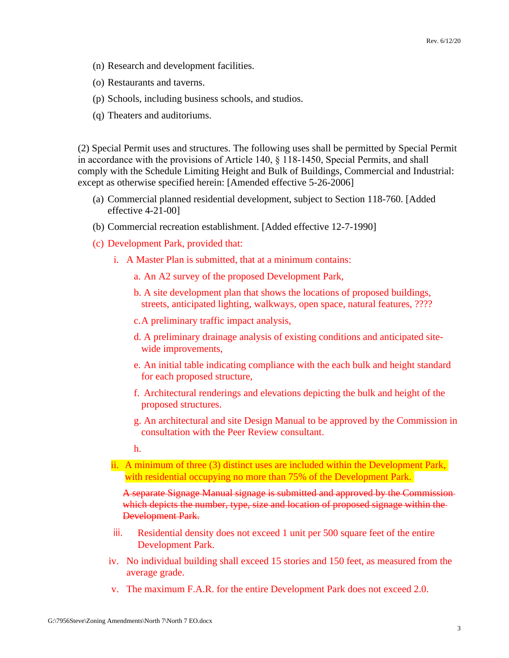- (n) Research and development facilities.
- (o) Restaurants and taverns.
- (p) Schools, including business schools, and studios.
- (q) Theaters and auditoriums.

(2) Special Permit uses and structures. The following uses shall be permitted by Special Permit in accordance with the provisions of Article 140, § 118-1450, Special Permits, and shall comply with the Schedule Limiting Height and Bulk of Buildings, Commercial and Industrial: except as otherwise specified herein: [Amended effective 5-26-2006]

- (a) Commercial planned residential development, subject to Section 118-760. [Added effective 4-21-00]
- (b) Commercial recreation establishment. [Added effective 12-7-1990]
- (c) Development Park, provided that:
	- i. A Master Plan is submitted, that at a minimum contains:
		- a. An A2 survey of the proposed Development Park,
		- b. A site development plan that shows the locations of proposed buildings, streets, anticipated lighting, walkways, open space, natural features, ????
		- c.A preliminary traffic impact analysis,
		- d. A preliminary drainage analysis of existing conditions and anticipated sitewide improvements,
		- e. An initial table indicating compliance with the each bulk and height standard for each proposed structure,
		- f. Architectural renderings and elevations depicting the bulk and height of the proposed structures.
		- g. An architectural and site Design Manual to be approved by the Commission in consultation with the Peer Review consultant.

h.

ii. A minimum of three (3) distinct uses are included within the Development Park, with residential occupying no more than 75% of the Development Park.

A separate Signage Manual signage is submitted and approved by the Commission which depicts the number, type, size and location of proposed signage within the Development Park.

- iii. Residential density does not exceed 1 unit per 500 square feet of the entire Development Park.
- iv. No individual building shall exceed 15 stories and 150 feet, as measured from the average grade.
- v. The maximum F.A.R. for the entire Development Park does not exceed 2.0.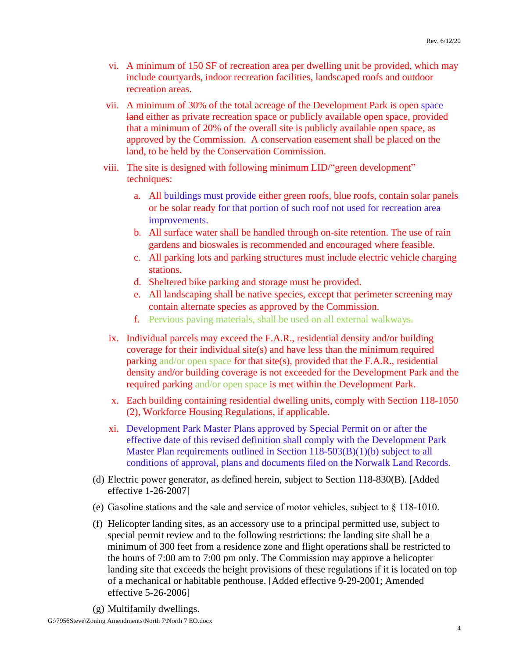- vi. A minimum of 150 SF of recreation area per dwelling unit be provided, which may include courtyards, indoor recreation facilities, landscaped roofs and outdoor recreation areas.
- vii. A minimum of 30% of the total acreage of the Development Park is open space land either as private recreation space or publicly available open space, provided that a minimum of 20% of the overall site is publicly available open space, as approved by the Commission. A conservation easement shall be placed on the land, to be held by the Conservation Commission.
- viii. The site is designed with following minimum LID/"green development" techniques:
	- a. All buildings must provide either green roofs, blue roofs, contain solar panels or be solar ready for that portion of such roof not used for recreation area improvements.
	- b. All surface water shall be handled through on-site retention. The use of rain gardens and bioswales is recommended and encouraged where feasible.
	- c. All parking lots and parking structures must include electric vehicle charging stations.
	- d. Sheltered bike parking and storage must be provided.
	- e. All landscaping shall be native species, except that perimeter screening may contain alternate species as approved by the Commission.
	- f. Pervious paving materials, shall be used on all external walkways.
- ix. Individual parcels may exceed the F.A.R., residential density and/or building coverage for their individual site(s) and have less than the minimum required parking and/or open space for that site(s), provided that the F.A.R., residential density and/or building coverage is not exceeded for the Development Park and the required parking and/or open space is met within the Development Park.
- x. Each building containing residential dwelling units, comply with Section 118-1050 (2), Workforce Housing Regulations, if applicable.
- xi. Development Park Master Plans approved by Special Permit on or after the effective date of this revised definition shall comply with the Development Park Master Plan requirements outlined in Section 118-503(B)(1)(b) subject to all conditions of approval, plans and documents filed on the Norwalk Land Records.
- (d) Electric power generator, as defined herein, subject to Section 118-830(B). [Added effective 1-26-2007]
- (e) Gasoline stations and the sale and service of motor vehicles, subject to § 118-1010.
- (f) Helicopter landing sites, as an accessory use to a principal permitted use, subject to special permit review and to the following restrictions: the landing site shall be a minimum of 300 feet from a residence zone and flight operations shall be restricted to the hours of 7:00 am to 7:00 pm only. The Commission may approve a helicopter landing site that exceeds the height provisions of these regulations if it is located on top of a mechanical or habitable penthouse. [Added effective 9-29-2001; Amended effective 5-26-2006]
- (g) Multifamily dwellings.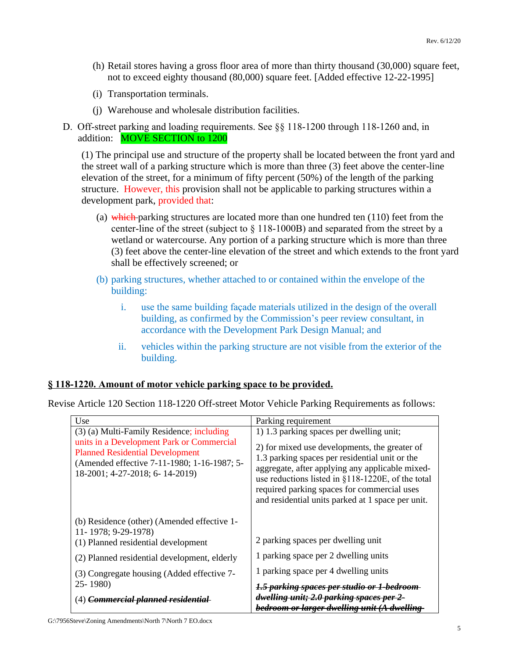- (h) Retail stores having a gross floor area of more than thirty thousand (30,000) square feet, not to exceed eighty thousand (80,000) square feet. [Added effective 12-22-1995]
- (i) Transportation terminals.
- (j) Warehouse and wholesale distribution facilities.
- D. Off-street parking and loading requirements. See §§ 118-1200 through 118-1260 and, in addition: MOVE SECTION to 1200

(1) The principal use and structure of the property shall be located between the front yard and the street wall of a parking structure which is more than three (3) feet above the center-line elevation of the street, for a minimum of fifty percent (50%) of the length of the parking structure. However, this provision shall not be applicable to parking structures within a development park, provided that:

- (a) which parking structures are located more than one hundred ten  $(110)$  feet from the center-line of the street (subject to § 118-1000B) and separated from the street by a wetland or watercourse. Any portion of a parking structure which is more than three (3) feet above the center-line elevation of the street and which extends to the front yard shall be effectively screened; or
- (b) parking structures, whether attached to or contained within the envelope of the building:
	- i. use the same building façade materials utilized in the design of the overall building, as confirmed by the Commission's peer review consultant, in accordance with the Development Park Design Manual; and
	- ii. vehicles within the parking structure are not visible from the exterior of the building.

# **§ 118-1220. Amount of motor vehicle parking space to be provided.**

Revise Article 120 Section 118-1220 Off-street Motor Vehicle Parking Requirements as follows:

| Use                                                                                                                                                                  | Parking requirement                                                                                                                                                                                                                                                                                         |
|----------------------------------------------------------------------------------------------------------------------------------------------------------------------|-------------------------------------------------------------------------------------------------------------------------------------------------------------------------------------------------------------------------------------------------------------------------------------------------------------|
| (3) (a) Multi-Family Residence; including                                                                                                                            | 1) 1.3 parking spaces per dwelling unit;                                                                                                                                                                                                                                                                    |
| units in a Development Park or Commercial<br><b>Planned Residential Development</b><br>(Amended effective 7-11-1980; 1-16-1987; 5-<br>18-2001; 4-27-2018; 6-14-2019) | 2) for mixed use developments, the greater of<br>1.3 parking spaces per residential unit or the<br>aggregate, after applying any applicable mixed-<br>use reductions listed in §118-1220E, of the total<br>required parking spaces for commercial uses<br>and residential units parked at 1 space per unit. |
| (b) Residence (other) (Amended effective 1-                                                                                                                          |                                                                                                                                                                                                                                                                                                             |
| 11-1978; 9-29-1978)<br>(1) Planned residential development                                                                                                           | 2 parking spaces per dwelling unit                                                                                                                                                                                                                                                                          |
| (2) Planned residential development, elderly                                                                                                                         | 1 parking space per 2 dwelling units                                                                                                                                                                                                                                                                        |
| (3) Congregate housing (Added effective 7-<br>$25 - 1980$                                                                                                            | 1 parking space per 4 dwelling units                                                                                                                                                                                                                                                                        |
|                                                                                                                                                                      | 1.5 parking spaces per studio or 1-bedroom-                                                                                                                                                                                                                                                                 |
| (4) Commercial planned residential                                                                                                                                   | dwelling unit; 2.0 parking spaces per 2-                                                                                                                                                                                                                                                                    |
|                                                                                                                                                                      | bedroom or larger dwelling unit (A dwelling-                                                                                                                                                                                                                                                                |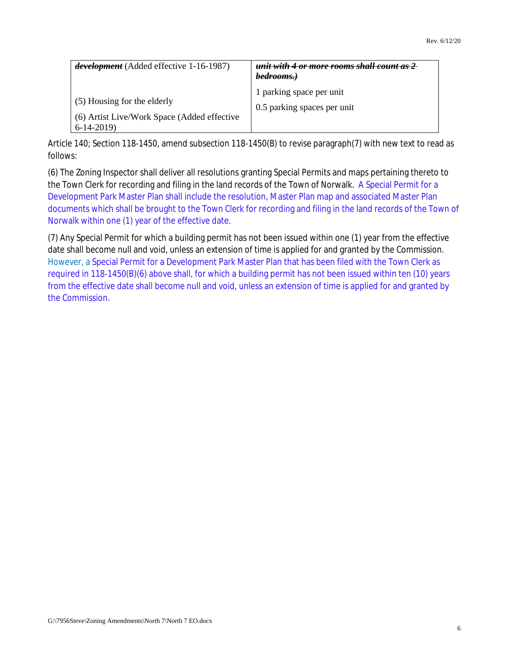| development (Added effective 1-16-1987)                                                   | unit with 4 or more rooms shall count as 2<br>bedrooms.) |
|-------------------------------------------------------------------------------------------|----------------------------------------------------------|
| (5) Housing for the elderly<br>(6) Artist Live/Work Space (Added effective<br>$6-14-2019$ | 1 parking space per unit<br>0.5 parking spaces per unit  |

Article 140; Section 118-1450, amend subsection 118-1450(B) to revise paragraph(7) with new text to read as follows:

(6) The Zoning Inspector shall deliver all resolutions granting Special Permits and maps pertaining thereto to the Town Clerk for recording and filing in the land records of the Town of Norwalk. A Special Permit for a Development Park Master Plan shall include the resolution, Master Plan map and associated Master Plan documents which shall be brought to the Town Clerk for recording and filing in the land records of the Town of Norwalk within one (1) year of the effective date.

(7) Any Special Permit for which a building permit has not been issued within one (1) year from the effective date shall become null and void, unless an extension of time is applied for and granted by the Commission. However, a Special Permit for a Development Park Master Plan that has been filed with the Town Clerk as required in 118-1450(B)(6) above shall, for which a building permit has not been issued within ten (10) years from the effective date shall become null and void, unless an extension of time is applied for and granted by the Commission.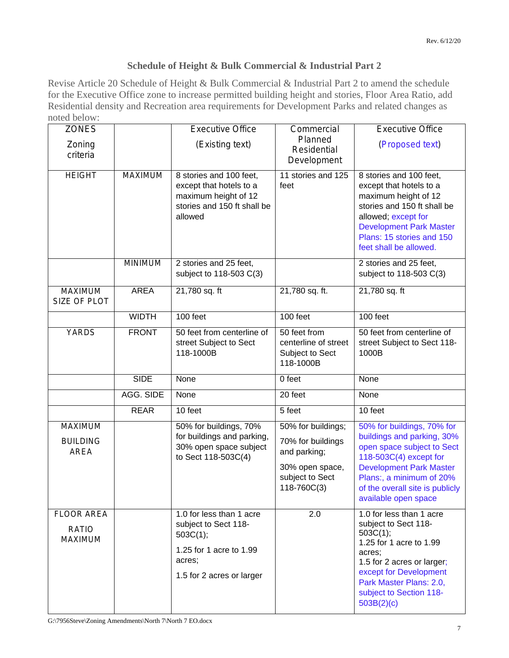# **Schedule of Height & Bulk Commercial & Industrial Part 2**

Revise Article 20 Schedule of Height & Bulk Commercial & Industrial Part 2 to amend the schedule for the Executive Office zone to increase permitted building height and stories, Floor Area Ratio, add Residential density and Recreation area requirements for Development Parks and related changes as noted below:

| <b>ZONES</b>                                 |                  | <b>Executive Office</b>                                                                                                        | Commercial                                                                                                   | <b>Executive Office</b>                                                                                                                                                                                                                   |
|----------------------------------------------|------------------|--------------------------------------------------------------------------------------------------------------------------------|--------------------------------------------------------------------------------------------------------------|-------------------------------------------------------------------------------------------------------------------------------------------------------------------------------------------------------------------------------------------|
| Zoning<br>criteria                           |                  | (Existing text)                                                                                                                | Planned<br>Residential<br>Development                                                                        | (Proposed text)                                                                                                                                                                                                                           |
| <b>HEIGHT</b>                                | MAXIMUM          | 8 stories and 100 feet,<br>except that hotels to a<br>maximum height of 12<br>stories and 150 ft shall be<br>allowed           | 11 stories and 125<br>feet                                                                                   | 8 stories and 100 feet,<br>except that hotels to a<br>maximum height of 12<br>stories and 150 ft shall be<br>allowed; except for<br><b>Development Park Master</b><br>Plans: 15 stories and 150<br>feet shall be allowed.                 |
|                                              | <b>MINIMUM</b>   | 2 stories and 25 feet,<br>subject to 118-503 C(3)                                                                              |                                                                                                              | 2 stories and 25 feet,<br>subject to 118-503 C(3)                                                                                                                                                                                         |
| MAXIMUM<br>SIZE OF PLOT                      | <b>AREA</b>      | 21,780 sq. ft                                                                                                                  | 21,780 sq. ft.                                                                                               | 21,780 sq. ft                                                                                                                                                                                                                             |
|                                              | <b>WIDTH</b>     | 100 feet                                                                                                                       | 100 feet                                                                                                     | 100 feet                                                                                                                                                                                                                                  |
| <b>YARDS</b>                                 | <b>FRONT</b>     | 50 feet from centerline of<br>street Subject to Sect<br>118-1000B                                                              | 50 feet from<br>centerline of street<br>Subject to Sect<br>118-1000B                                         | 50 feet from centerline of<br>street Subject to Sect 118-<br>1000B                                                                                                                                                                        |
|                                              | <b>SIDE</b>      | None                                                                                                                           | 0 feet                                                                                                       | None                                                                                                                                                                                                                                      |
|                                              | <b>AGG. SIDE</b> | None                                                                                                                           | 20 feet                                                                                                      | None                                                                                                                                                                                                                                      |
|                                              | <b>REAR</b>      | 10 feet                                                                                                                        | 5 feet                                                                                                       | 10 feet                                                                                                                                                                                                                                   |
| MAXIMUM<br><b>BUILDING</b><br><b>AREA</b>    |                  | 50% for buildings, 70%<br>for buildings and parking,<br>30% open space subject<br>to Sect 118-503C(4)                          | 50% for buildings;<br>70% for buildings<br>and parking;<br>30% open space,<br>subject to Sect<br>118-760C(3) | 50% for buildings, 70% for<br>buildings and parking, 30%<br>open space subject to Sect<br>118-503C(4) except for<br><b>Development Park Master</b><br>Plans:, a minimum of 20%<br>of the overall site is publicly<br>available open space |
| <b>FLOOR AREA</b><br><b>RATIO</b><br>MAXIMUM |                  | 1.0 for less than 1 acre<br>subject to Sect 118-<br>503C(1);<br>1.25 for 1 acre to 1.99<br>acres;<br>1.5 for 2 acres or larger | 2.0                                                                                                          | 1.0 for less than 1 acre<br>subject to Sect 118-<br>503C(1);<br>1.25 for 1 acre to 1.99<br>acres:<br>1.5 for 2 acres or larger;<br>except for Development<br>Park Master Plans: 2.0,<br>subject to Section 118-<br>503B(2)(c)             |